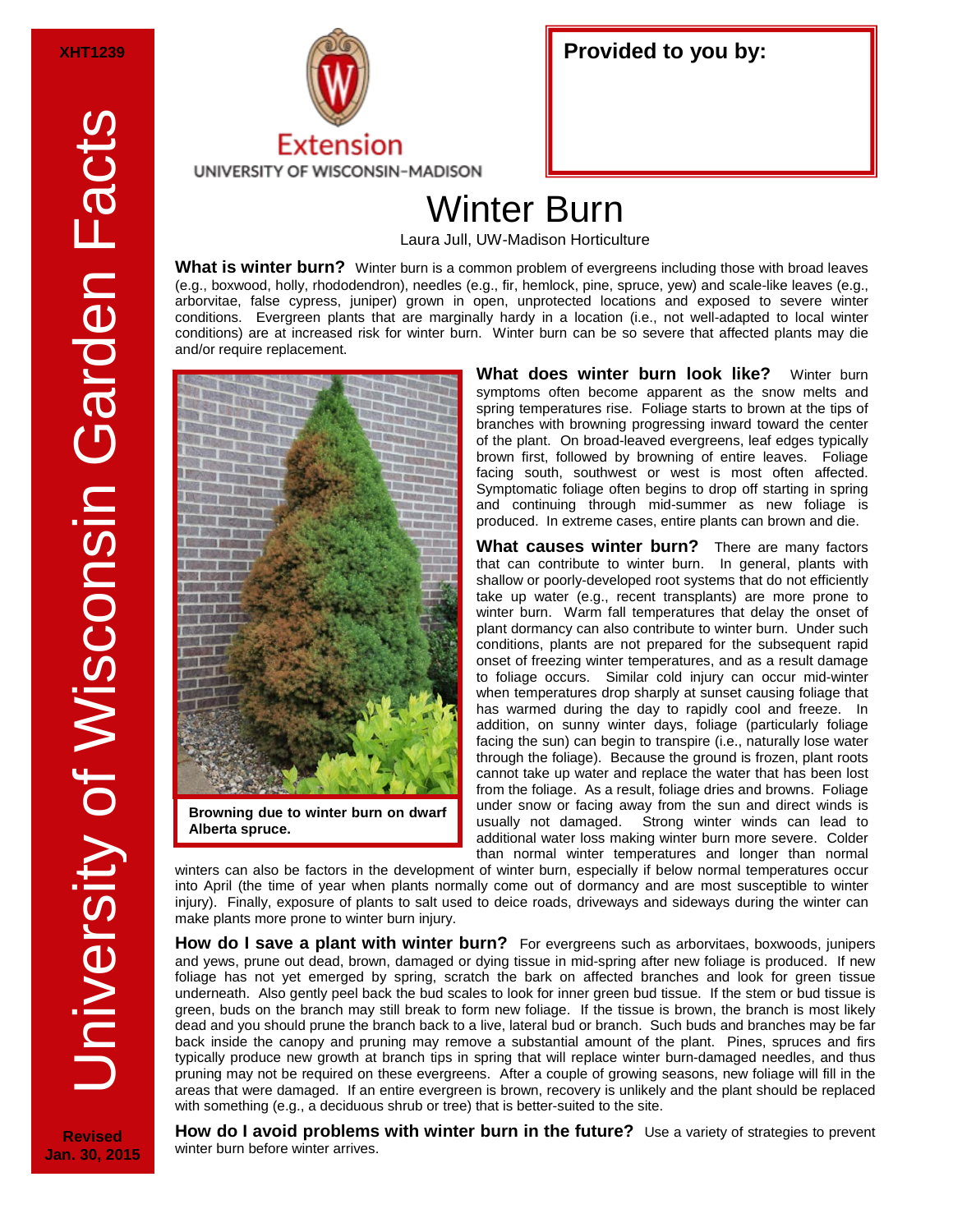**Revised Jan. 30, 2015**



## Winter Burn

Laura Jull, UW-Madison Horticulture

**What is winter burn?** Winter burn is a common problem of evergreens including those with broad leaves (e.g., boxwood, holly, rhododendron), needles (e.g., fir, hemlock, pine, spruce, yew) and scale-like leaves (e.g., arborvitae, false cypress, juniper) grown in open, unprotected locations and exposed to severe winter conditions. Evergreen plants that are marginally hardy in a location (i.e., not well-adapted to local winter conditions) are at increased risk for winter burn. Winter burn can be so severe that affected plants may die and/or require replacement.



**Alberta spruce.** 

**What does winter burn look like?** Winter burn symptoms often become apparent as the snow melts and spring temperatures rise. Foliage starts to brown at the tips of branches with browning progressing inward toward the center of the plant. On broad-leaved evergreens, leaf edges typically brown first, followed by browning of entire leaves. Foliage facing south, southwest or west is most often affected. Symptomatic foliage often begins to drop off starting in spring and continuing through mid-summer as new foliage is produced. In extreme cases, entire plants can brown and die.

**What causes winter burn?** There are many factors that can contribute to winter burn. In general, plants with shallow or poorly-developed root systems that do not efficiently take up water (e.g., recent transplants) are more prone to winter burn. Warm fall temperatures that delay the onset of plant dormancy can also contribute to winter burn. Under such conditions, plants are not prepared for the subsequent rapid onset of freezing winter temperatures, and as a result damage to foliage occurs. Similar cold injury can occur mid-winter when temperatures drop sharply at sunset causing foliage that has warmed during the day to rapidly cool and freeze. In addition, on sunny winter days, foliage (particularly foliage facing the sun) can begin to transpire (i.e., naturally lose water through the foliage). Because the ground is frozen, plant roots cannot take up water and replace the water that has been lost from the foliage. As a result, foliage dries and browns. Foliage under snow or facing away from the sun and direct winds is usually not damaged. Strong winter winds can lead to additional water loss making winter burn more severe. Colder than normal winter temperatures and longer than normal

winters can also be factors in the development of winter burn, especially if below normal temperatures occur into April (the time of year when plants normally come out of dormancy and are most susceptible to winter injury). Finally, exposure of plants to salt used to deice roads, driveways and sideways during the winter can make plants more prone to winter burn injury.

**How do I save a plant with winter burn?** For evergreens such as arborvitaes, boxwoods, junipers and yews, prune out dead, brown, damaged or dying tissue in mid-spring after new foliage is produced. If new foliage has not yet emerged by spring, scratch the bark on affected branches and look for green tissue underneath. Also gently peel back the bud scales to look for inner green bud tissue. If the stem or bud tissue is green, buds on the branch may still break to form new foliage. If the tissue is brown, the branch is most likely dead and you should prune the branch back to a live, lateral bud or branch. Such buds and branches may be far back inside the canopy and pruning may remove a substantial amount of the plant. Pines, spruces and firs typically produce new growth at branch tips in spring that will replace winter burn-damaged needles, and thus pruning may not be required on these evergreens. After a couple of growing seasons, new foliage will fill in the areas that were damaged. If an entire evergreen is brown, recovery is unlikely and the plant should be replaced with something (e.g., a deciduous shrub or tree) that is better-suited to the site.

**How do I avoid problems with winter burn in the future?** Use a variety of strategies to prevent winter burn before winter arrives.